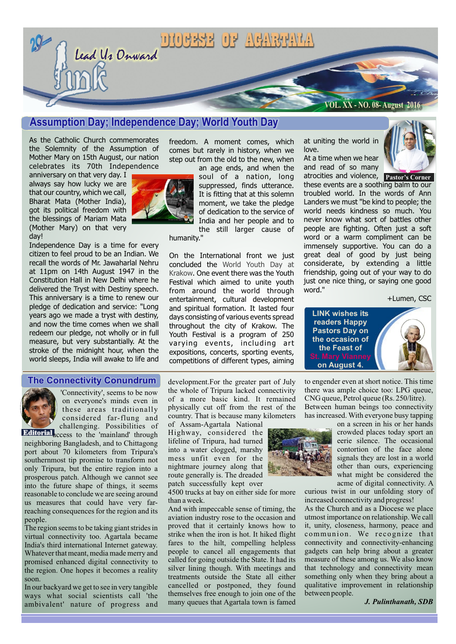

# **Assumption Day; Independence Day; World Youth Day**

As the Catholic Church commemorates the Solemnity of the Assumption of Mother Mary on 15th August, our nation celebrates its 70th Independence

anniversary on that very day. I always say how lucky we are that our country, which we call, Bharat Mata (Mother India), got its political freedom with the blessings of Mariam Mata (Mother Mary) on that very day!

Independence Day is a time for every citizen to feel proud to be an Indian. We recall the words of Mr. Jawaharlal Nehru at 11pm on 14th August 1947 in the Constitution Hall in New Delhi where he delivered the Tryst with Destiny speech. This anniversary is a time to renew our pledge of dedication and service: "*Long years ago we made a tryst with destiny, and now the time comes when we shall redeem our pledge, not wholly or in full measure, but very substantially. At the stroke of the midnight hour, when the world sleeps, India will awake to life and* 



*freedom. A moment comes, which comes but rarely in history, when we step out from the old to the new, when* 

*an age ends, and when the soul of a nation, long suppressed, finds utterance. It is fitting that at this solemn moment, we take the pledge of dedication to the service of India and her people and to the still larger cause of* 

*humanity."*

On the International front we just concluded the *World Youth Day at*  Krakow. One event there was the Youth Festival which aimed to unite youth from around the world through entertainment, cultural development and spiritual formation. It lasted four days consisting of various events spread throughout the city of Krakow. The Youth Festival is a program of 250 varying events, including art expositions, concerts, sporting events, competitions of different types, aiming

at uniting the world in love.

At a time when we hear and read of so many



atrocities and violence, **Pastor's Corner** these events are a soothing balm to our troubled world. In the words of Ann Landers we must "be kind to people; the world needs kindness so much. You never know what sort of battles other people are fighting. Often just a soft word or a warm compliment can be immensely supportive. You can do a great deal of good by just being considerate, by extending a little friendship, going out of your way to do just one nice thing, or saying one good word."

*+Lumen, CSC*

**LINK wishes its readers Happy Pastors Day on the occasion of the Feast of on August 4.**

to engender even at short notice. This time there was ample choice too: LPG queue, CNG queue, Petrol queue (Rs. 250/litre).

#### **The Connectivity Conundrum**



'Connectivity', seems to be now on everyone's minds even in these areas traditionally considered far-flung and challenging. Possibilities of

**Editorial** access to the 'mainland' through neighboring Bangladesh, and to Chittagong port about 70 kilometers from Tripura's southernmost tip promise to transform not only Tripura, but the entire region into a prosperous patch. Although we cannot see into the future shape of things, it seems reasonable to conclude we are seeing around us measures that could have very farreaching consequences for the region and its people.

The region seems to be taking giant strides in virtual connectivity too. Agartala became India's third international Internet gateway. Whatever that meant, media made merry and promised enhanced digital connectivity to the region. One hopes it becomes a reality soon.

In our backyard we get to see in very tangible ways what social scientists call 'the ambivalent' nature of progress and development.For the greater part of July the whole of Tripura lacked connectivity of a more basic kind. It remained physically cut off from the rest of the country. That is because many kilometers

of Assam-Agartala National Highway, considered the lifeline of Tripura, had turned into a water clogged, marshy mess unfit even for the nightmare journey along that route generally is. The dreaded patch successfully kept over

4500 trucks at bay on either side for more than a week.

And with impeccable sense of timing, the aviation industry rose to the occasion and proved that it certainly knows how to strike when the iron is hot. It hiked flight fares to the hilt, compelling helpless people to cancel all engagements that called for going outside the State. It had its silver lining though. With meetings and treatments outside the State all either cancelled or postponed, they found themselves free enough to join one of the many queues that Agartala town is famed



Between human beings too connectivity has increased. With everyone busy tapping on a screen in his or her hands crowded places today sport an eerie silence. The occasional contortion of the face alone

signals they are lost in a world other than ours, experiencing what might be considered the acme of digital connectivity. A

curious twist in our unfolding story of increased connectivity and progress!

As the Church and as a Diocese we place utmost importance on relationship. We call it, unity, closeness, harmony, peace and communion. We recognize that connectivity and connectivity-enhancing gadgets can help bring about a greater measure of these among us. We also know that technology and connectivity mean something only when they bring about a qualitative improvement in relationship between people.

*J. Pulinthanath, SDB*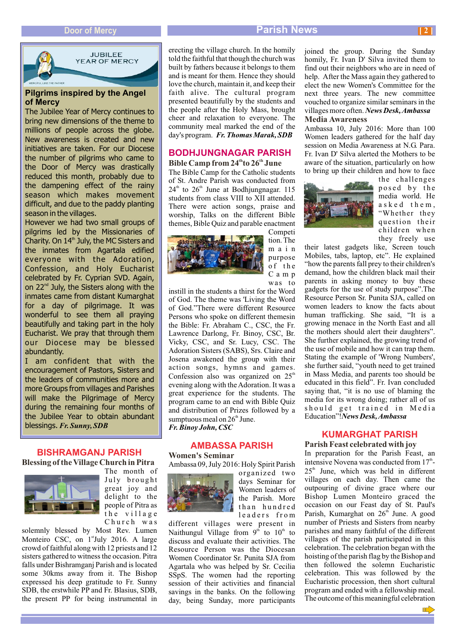

**JUBILEE** YEAR OF MERCY

#### **Pilgrims inspired by the Angel of Mercy**

The Jubilee Year of Mercy continues to bring new dimensions of the theme to millions of people across the globe. New awareness is created and new initiatives are taken. For our Diocese the number of pilgrims who came to the Door of Mercy was drastically reduced this month, probably due to the dampening effect of the rainy season which makes movement difficult, and due to the paddy planting season in the villages.

However we had two small groups of pilgrims led by the Missionaries of Charity. On 14<sup>th</sup> July, the MC Sisters and the inmates from Agartala edified everyone with the Adoration, Confession, and Holy Eucharist celebrated by Fr. Cyprian SVD. Again, on 22<sup>nd</sup> July, the Sisters along with the inmates came from distant Kumarghat for a day of pilgrimage. It was wonderful to see them all praying beautifully and taking part in the holy Eucharist. We pray that through them our Diocese may be blessed abundantly.

I am confident that with the encouragement of Pastors, Sisters and the leaders of communities more and more Groups from villages and Parishes will make the Pilgrimage of Mercy during the remaining four months of the Jubilee Year to obtain abundant blessings. *Fr. Sunny, SDB*

## **BISHRAMGANJ PARISH**

**Blessing of the Village Church in Pitra**



The month of July brought great joy and delight to the people of Pitra as the village Church was

solemnly blessed by Most Rev. Lumen Monteiro CSC, on 1<sup>st</sup>July 2016. A large crowd of faithful along with 12 priests and 12 sisters gathered to witness the occasion. Pitra falls under Bishramganj Parish and is located some 30kms away from it. The Bishop expressed his deep gratitude to Fr. Sunny SDB, the erstwhile PP and Fr. Blasius, SDB, the present PP for being instrumental in

erecting the village church. In the homily told the faithful that though the church was built by fathers because it belongs to them and is meant for them. Hence they should love the church, maintain it, and keep their faith alive. The cultural program presented beautifully by the students and the people after the Holy Mass, brought cheer and relaxation to everyone. The community meal marked the end of the day's program. *Fr. Thomas Marak, SDB*

## **BODHJUNGNAGAR PARISH**

#### **th th Bible Camp from 24 to 26 June**

The Bible Camp for the Catholic students of St. Andre Parish was conducted from  $24<sup>th</sup>$  to  $26<sup>th</sup>$  June at Bodhjungnagar. 115 students from class VIII to XII attended. There were action songs, praise and worship, Talks on the different Bible themes, Bible Quiz and parable enactment Competi



tion. The main purpose of the Camp was to

instill in the students a thirst for the Word of God. The theme was 'Living the Word of God."There were different Resource Persons who spoke on different themesin the Bible: Fr. Abraham C., CSC, the Fr. Lawrence Darlong, Fr. Binoy, CSC, Br. Vicky, CSC, and Sr. Lucy, CSC. The Adoration Sisters (SABS), Srs. Claire and Josena awakened the group with their action songs, hymns and games. Confession also was organized on  $25<sup>th</sup>$ evening along with the Adoration. It was a great experience for the students. The program came to an end with Bible Quiz and distribution of Prizes followed by a sumptuous meal on  $26<sup>th</sup>$  June. *Fr. Binoy John, CSC* 

#### **AMBASSA PARISH**

Ambassa 09, July 2016: Holy Spirit Parish **Women's Seminar**



Women leaders of the Parish. More than hundred leaders from different villages were present in Naithungul Village from  $9<sup>th</sup>$  to  $10<sup>th</sup>$  to discuss and evaluate their activities. The

organized two days Seminar for

Resource Person was the Diocesan Women Coordinator Sr. Punita SJA from Agartala who was helped by Sr. Cecilia SSpS. The women had the reporting session of their activities and financial savings in the banks. On the following day, being Sunday, more participants

joined the group. During the Sunday homily, Fr. Ivan D' Silva invited them to find out their neighbors who are in need of help. After the Mass again they gathered to elect the new Women's Committee for the next three years. The new committee vouched to organize similar seminars in the villages more often. *News Desk, Ambassa* **Media Awareness**

Ambassa 10, July 2016: More than 100 Women leaders gathered for the half day session on Media Awareness at N.G. Para. Fr. Ivan D' Silva alerted the Mothers to be aware of the situation, particularly on how to bring up their children and how to face



the challenges posed by the media world. He asked them, "Whether they question their children when they freely use

their latest gadgets like, Screen touch Mobiles, tabs, laptop, etc". He explained "how the parents fall prey to their children's demand, how the children black mail their parents in asking money to buy these gadgets for the use of study purpose".The Resource Person Sr. Punita SJA, called on women leaders to know the facts about human trafficking. She said, "It is a growing menace in the North East and all the mothers should alert their daughters". She further explained, the growing trend of the use of mobile and how it can trap them. Stating the example of 'Wrong Numbers', she further said, "youth need to get trained in Mass Media, and parents too should be educated in this field". Fr. Ivan concluded saying that, "it is no use of blaming the media for its wrong doing; rather all of us should get trained in Media Education"!*News Desk, Ambassa*

## **KUMARGHAT PARISH**

#### **Parish Feast celebrated with joy**

In preparation for the Parish Feast, an intensive Novena was conducted from  $17<sup>th</sup>$  $25<sup>th</sup>$  June, which was held in different villages on each day. Then came the outpouring of divine grace where our Bishop Lumen Monteiro graced the occasion on our Feast day of St. Paul's Parish, Kumarghat on 26<sup>th</sup> June. A good number of Priests and Sisters from nearby parishes and many faithful of the different villages of the parish participated in this celebration. The celebration began with the hoisting of the parish flag by the Bishop and then followed the solemn Eucharistic celebration. This was followed by the Eucharistic procession, then short cultural program and ended with a fellowship meal. The outcome of this meaningful celebration

#### **Door of Mercy Parish News**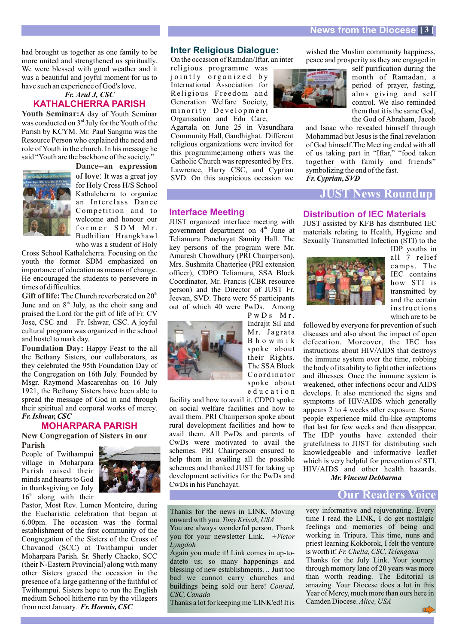had brought us together as one family to be more united and strengthened us spiritually. We were blessed with good weather and it was a beautiful and joyful moment for us to have such an experience of God's love.

### *Fr. Arul J, CSC* **KATHALCHERRA PARISH**

Youth Seminar: A day of Youth Seminar was conducted on  $3<sup>rd</sup>$  July for the Youth of the Parish by KCYM. Mr. Paul Sangma was the Resource Person who explained the need and role of Youth in the church. In his message he said "Youth are the backbone of the society."



of love: It was a great joy for Holy Cross H/S School Kathalcherra to organize an Interclass Dance Competition and to welcome and honour our former SDM Mr. Budhilian Hrangkhawl who was a student of Holy **Dance--an expression** 

Cross School Kathalcherra. Focusing on the youth the former SDM emphasized on importance of education as means of change. He encouraged the students to persevere in times of difficulties.

Gift of life: The Church reverberated on 20<sup>th</sup> June and on  $8<sup>th</sup>$  July, as the choir sang and praised the Lord for the gift of life of Fr. CV Jose, CSC and Fr. Ishwar, CSC. A joyful cultural program was organized in the school and hostel to mark day.

Foundation Day: Happy Feast to the all the Bethany Sisters, our collaborators, as they celebrated the 95th Foundation Day of the Congregation on 16th July. Founded by Msgr. Raymond Mascarenhas on 16 July 1921, the Bethany Sisters have been able to spread the message of God in and through their spiritual and corporal works of mercy. *Fr. Ishwar, CSC*

# **MOHARPARA PARISH**

**New Congregation of Sisters in our Parish**

People of Twithampui village in Moharpara Parish raised their minds and hearts to God in thanksgiving on July  $16<sup>th</sup>$  along with their



Pastor, Most Rev. Lumen Monteiro, during the Eucharistic celebration that began at 6.00pm. The occasion was the formal establishment of the first community of the Congregation of the Sisters of the Cross of Chavanod (SCC) at Twithampui under Moharpara Parish. Sr. Sherly Chacko, SCC (their N-Eastern Provincial) along with many other Sisters graced the occasion in the presence of a large gathering of the faithful of Twithampui. Sisters hope to run the English medium School hitherto run by the villagers from next January. *Fr. Hormis, CSC*

#### **Inter Religious Dialogue:**

On the occasion of Ramdan/Iftar, an inter

religious programme was jointly or ganized by International Association for Religious Freedom and Generation Welfare Society, minority Development Organisation and Edu Care,

Agartala on June 25 in Vasundhara Community Hall, Gandhighat. Different religious organizations were invited for this programme;among others was the Catholic Church was represented by Frs. Lawrence, Harry CSC, and Cyprian SVD. On this auspicious occasion we

#### **Interface Meeting**

JUST organized interface meeting with government department on  $4<sup>th</sup>$  June at Teliamura Panchayat Samity Hall. The key persons of the program were Mr. Amaresh Chowdhury (PRI Chairperson), Mrs. Sushmita Chatterjee (PRI extension officer), CDPO Teliamura, SSA Block Coordinator, Mr. Francis (CBR resource person) and the Director of JUST Fr. Jeevan, SVD. There were 55 participants out of which 40 were PwDs. Among



PwD<sub>s</sub> M<sub>r</sub>. Indrajit Sil and Mr. Jagrata Bhowmik spoke about their Rights. The SSA Block Coordinator spoke about education

facility and how to avail it. CDPO spoke on social welfare facilities and how to avail them. PRI Chairperson spoke about rural development facilities and how to avail them. All PwDs and parents of CwDs were motivated to avail the schemes. PRI Chairperson ensured to help them in availing all the possible schemes and thanked JUST for taking up development activities for the PwDs and CwDs in his Panchayat.

Thanks for the news in LINK. Moving onward with you. *Tony Krisak, USA* You are always wonderful person. Thank you for your newsletter Link. +*Victor* 

Again you made it! Link comes in up-todateto us; so many happenings and blessing of new establishments… Just too bad we cannot carry churches and buildings being sold our here! *Conrad,* 

Thanks a lot for keeping me 'LINK'ed! It is

*Lyngdoh*

*CSC, Canada*

wished the Muslim community happiness. peace and prosperity as they are engaged in

> self purification during the month of Ramadan, a period of prayer, fasting, alms giving and self control. We also reminded them that it is the same God, the God of Abraham, Jacob

and Isaac who revealed himself through Mohammad but Jesus is the final revelation of God himself.The Meeting ended with all of us taking part in "Iftar," "food taken together with family and friends" symbolizing the end of the fast. *Fr. Cyprian, SVD*

### **JUST News Roundup**

#### **Distribution of IEC Materials**

JUST assisted by KFB has distributed IEC materials relating to Health, Hygiene and Sexually Transmitted Infection (STI) to the



IDP youths in all 7 relief camps. The IEC contains how STI is transmitted by and the certain instructions which are to be

followed by everyone for prevention of such diseases and also about the impact of open defecation. Moreover, the IEC has instructions about HIV/AIDS that destroys the immune system over the time, robbing the body of its ability to fight other infections and illnesses. Once the immune system is weakened, other infections occur and AIDS develops. It also mentioned the signs and symptoms of HIV/AIDS which generally appears 2 to 4 weeks after exposure. Some people experience mild flu-like symptoms that last for few weeks and then disappear. The IDP youths have extended their gratefulness to JUST for distributing such knowledgeable and informative leaflet which is very helpful for prevention of STI, HIV/AIDS and other health hazards. *Mr. Vincent Debbarma*

# **Our Readers Voice**

very informative and rejuvenating. Every time I read the LINK, I do get nostalgic feelings and memories of being and working in Tripura. This time, nuns and priest learning Kokborok, I felt the venture is worth it! *Fr. Chella, CSC, Telengana* Thanks for the July Link. Your journey through memory lane of 20 years was more than worth reading. The Editorial is amazing. Your Diocese does a lot in this Year of Mercy, much more than ours here in Camden Diocese. *Alice, USA*